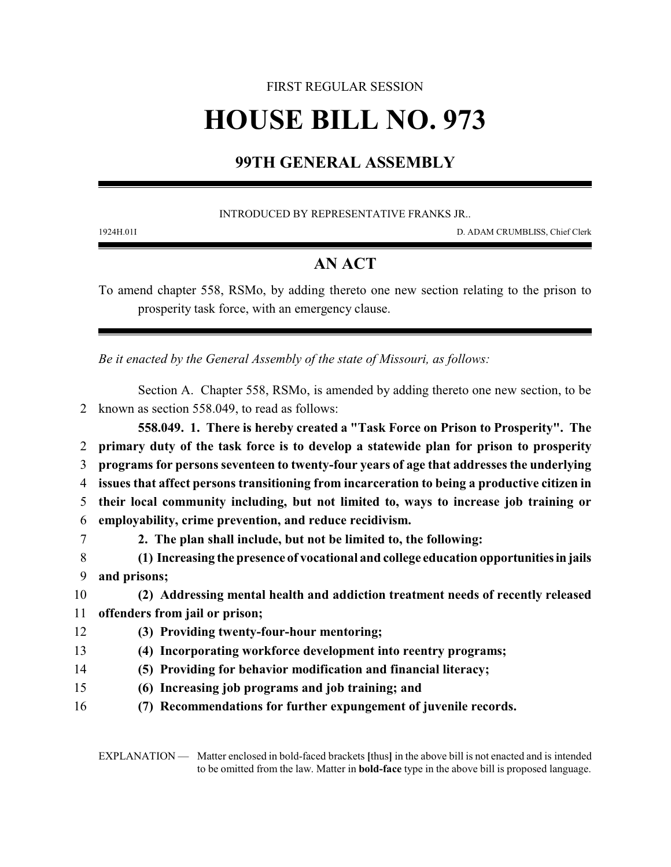# FIRST REGULAR SESSION **HOUSE BILL NO. 973**

## **99TH GENERAL ASSEMBLY**

INTRODUCED BY REPRESENTATIVE FRANKS JR..

1924H.01I D. ADAM CRUMBLISS, Chief Clerk

### **AN ACT**

To amend chapter 558, RSMo, by adding thereto one new section relating to the prison to prosperity task force, with an emergency clause.

*Be it enacted by the General Assembly of the state of Missouri, as follows:*

Section A. Chapter 558, RSMo, is amended by adding thereto one new section, to be 2 known as section 558.049, to read as follows:

**558.049. 1. There is hereby created a "Task Force on Prison to Prosperity". The primary duty of the task force is to develop a statewide plan for prison to prosperity programs for persons seventeen to twenty-four years of age that addresses the underlying issues that affect persons transitioning from incarceration to being a productive citizen in their local community including, but not limited to, ways to increase job training or employability, crime prevention, and reduce recidivism. 2. The plan shall include, but not be limited to, the following: (1) Increasing the presence of vocational and college education opportunitiesin jails**

9 **and prisons;**

#### 10 **(2) Addressing mental health and addiction treatment needs of recently released**

- 11 **offenders from jail or prison;**
- 12 **(3) Providing twenty-four-hour mentoring;**
- 13 **(4) Incorporating workforce development into reentry programs;**
- 14 **(5) Providing for behavior modification and financial literacy;**
- 15 **(6) Increasing job programs and job training; and**
- 16 **(7) Recommendations for further expungement of juvenile records.**

EXPLANATION — Matter enclosed in bold-faced brackets **[**thus**]** in the above bill is not enacted and is intended to be omitted from the law. Matter in **bold-face** type in the above bill is proposed language.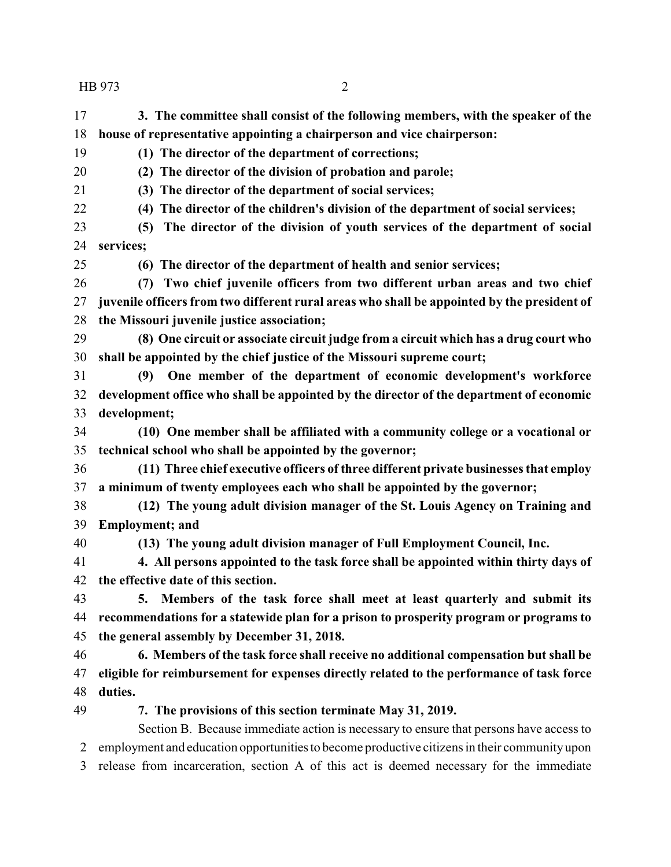HB 973 2

 **3. The committee shall consist of the following members, with the speaker of the house of representative appointing a chairperson and vice chairperson:**

**(1) The director of the department of corrections;**

**(2) The director of the division of probation and parole;**

**(3) The director of the department of social services;**

**(4) The director of the children's division of the department of social services;**

 **(5) The director of the division of youth services of the department of social services;**

**(6) The director of the department of health and senior services;**

 **(7) Two chief juvenile officers from two different urban areas and two chief juvenile officers from two different rural areas who shall be appointed by the president of the Missouri juvenile justice association;**

 **(8) One circuit or associate circuit judge from a circuit which has a drug court who shall be appointed by the chief justice of the Missouri supreme court;**

 **(9) One member of the department of economic development's workforce development office who shall be appointed by the director of the department of economic development;**

 **(10) One member shall be affiliated with a community college or a vocational or technical school who shall be appointed by the governor;**

 **(11) Three chief executive officers of three different private businesses that employ a minimum of twenty employees each who shall be appointed by the governor;**

 **(12) The young adult division manager of the St. Louis Agency on Training and Employment; and**

**(13) The young adult division manager of Full Employment Council, Inc.**

 **4. All persons appointed to the task force shall be appointed within thirty days of the effective date of this section.**

 **5. Members of the task force shall meet at least quarterly and submit its recommendations for a statewide plan for a prison to prosperity program or programs to the general assembly by December 31, 2018.**

 **6. Members of the task force shall receive no additional compensation but shall be eligible for reimbursement for expenses directly related to the performance of task force duties.**

**7. The provisions of this section terminate May 31, 2019.**

Section B. Because immediate action is necessary to ensure that persons have access to employment and education opportunitiesto become productive citizens in their communityupon

release from incarceration, section A of this act is deemed necessary for the immediate